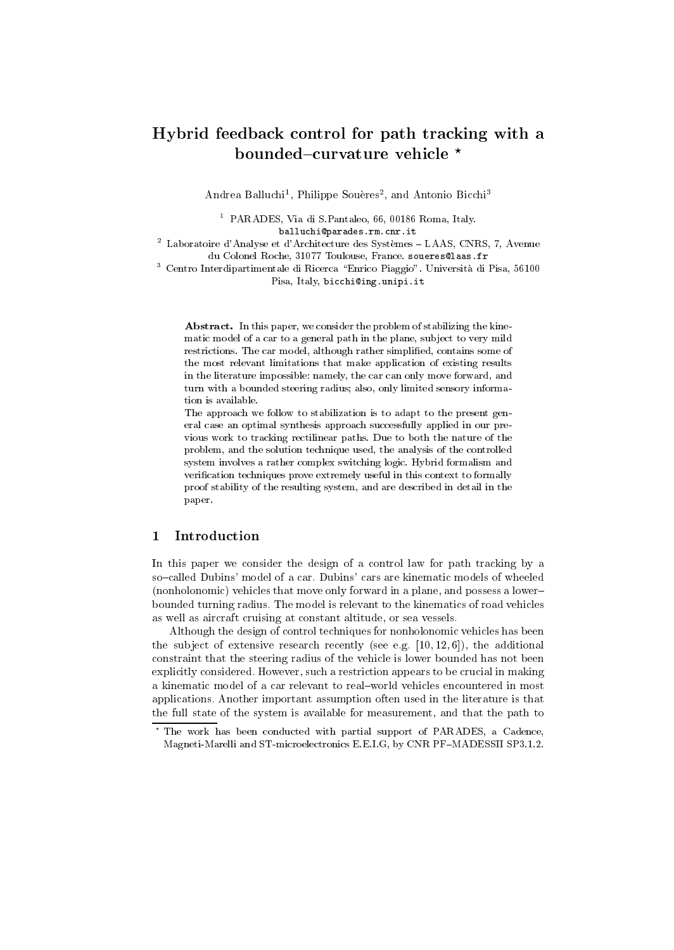# ha for the theory with the tracking for the path tracking with a control to the control for the second second bounded{curvature vehicle ?

Andrea Danuchi , Philippe Soueres , and Antonio Bicchi

<sup>1</sup> PARADES, Via di S.Pantaleo, 66, 00186 Roma, Italy. PARADES, Via di S.Pantaleo, 66, 00186 Roma, Italy. balluchi@parades.rm.cnr.it

 $^2$  Laboratoire d'Analyse et d'Architecture des Systèmes – LAAS, CNRS, 7, Avenue du Colonel Roche, 31077 Toulouse, France. soueres@laas.fr

<sup>3</sup> Centro Interdipartimentale di Ricerca \Enrico Piaggio". Universita di Pisa, 56100 Pisa, Italy, bicchi@ing.unipi.it

Abstract. In this paper, we consider the problem of stabilizing the kinematic model of a car to a general path in the plane, sub ject to very mild restrictions. The car model, although rather simplied, contains some of the most relevant limitations that make application of existing results in the literature impossible: namely, the car can only move forward, and turn with a bounded steering radius; also, only limited sensory information is available.

The approach we follow to stabilization is to adapt to the present general case an optimal synthesis approach successfully applied in our previous work to tracking rectilinear paths. Due to both the nature of the problem, and the solution technique used, the analysis of the controlled system involves a rather complex switching logic. Hybrid formalism and verification techniques prove extremely useful in this context to formally proof stability of the resulting system, and are described in detail in the paper.

#### Introduction  $\mathbf{1}$

In this paper we consider the design of a control law for path tracking by a so-called Dubins' model of a car. Dubins' cars are kinematic models of wheeled (nonholonomic) vehicles that move only forward in a plane, and possess a lower{ bounded turning radius. The model is relevant to the kinematics of road vehicles as well as aircraft cruising at constant altitude, or sea vessels.

Although the design of control techniques for nonholonomic vehicles has been the subject of extensive research recently (see e.g.  $[10, 12, 6]$ ), the additional constraint that the steering radius of the vehicle is lower bounded has not been explicitly considered. However, such a restriction appears to be crucial in making a kinematic model of a car relevant to real-world vehicles encountered in most applications. Another important assumption often used in the literature is that the full state of the system is available for measurement, and that the path to

<sup>?</sup> The work has been conducted with partial support of PARADES, a Cadence, Magneti-Marelli and ST-microelectronics E.E.I.G, by CNR PF-MADESSII SP3.1.2.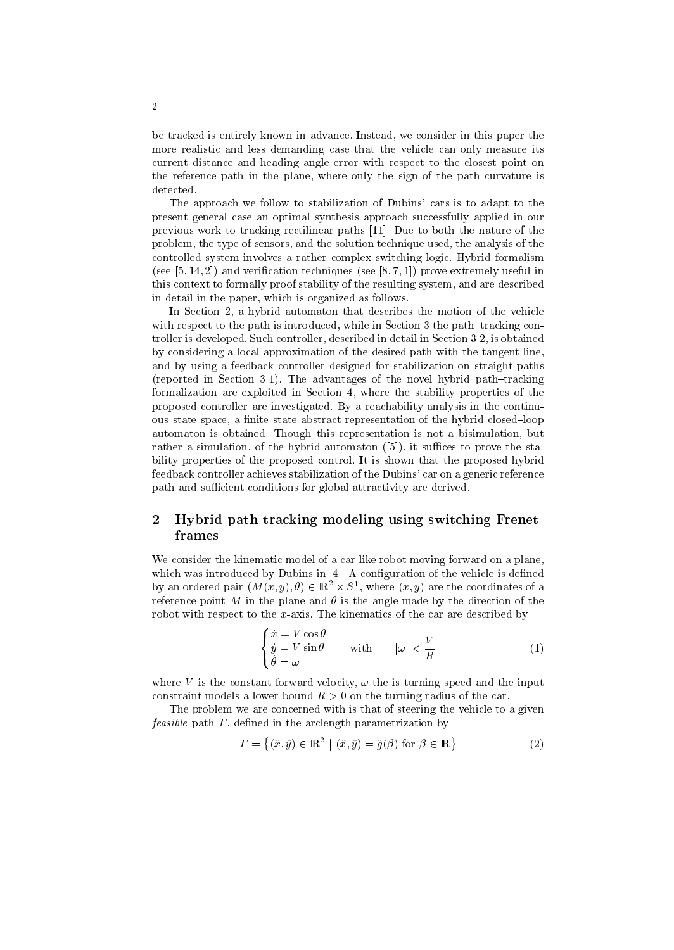be tracked is entirely known in advance. Instead, we consider in this paper the more realistic and less demanding case that the vehicle can only measure its current distance and heading angle error with respect to the closest point on the reference path in the plane, where only the sign of the path curvature is detected.

The approach we follow to stabilization of Dubins' cars is to adapt to the present general case an optimal synthesis approach successfully applied in our previous work to tracking rectilinear paths [11]. Due to both the nature of the problem, the type of sensors, and the solution technique used, the analysis of the controlled system involves a rather complex switching logic. Hybrid formalism (see  $[5, 14, 2]$ ) and verification techniques (see  $[8, 7, 1]$ ) prove extremely useful in this context to formally proof stability of the resulting system, and are described in detail in the paper, which is organized as follows.

In Section 2, a hybrid automaton that describes the motion of the vehicle with respect to the path is introduced, while in Section 3 the path-tracking controller is developed. Such controller, described in detail in Section 3.2, is obtained by considering a local approximation of the desired path with the tangent line, and by using a feedback controller designed for stabilization on straight paths (reported in Section 3.1). The advantages of the novel hybrid path $-tr$ racking formalization are exploited in Section 4, where the stability properties of the proposed controller are investigated. By a reachability analysis in the continuous state space, a finite state abstract representation of the hybrid closed-loop automaton is obtained. Though this representation is not a bisimulation, but rather a simulation, of the hybrid automaton  $([5])$ , it suffices to prove the stability properties of the proposed control. It is shown that the proposed hybrid feedback controller achieves stabilization of the Dubins' car on a generic reference path and sufficient conditions for global attractivity are derived.

### 2 Hybrid path tracking modeling using switching Frenet frames

We consider the kinematic model of a car-like robot moving forward on a plane, which was introduced by Dubins in [4]. A configuration of the vehicle is defined by an ordered pair  $(M(x, y), \theta) \in \mathbb{R}^+ \times S^+$ , where  $(x, y)$  are the coordinates of a reference point M in the plane and  $\theta$  is the angle made by the direction of the robot with respect to the  $x$ -axis. The kinematics of the car are described by

$$
\begin{cases} \n\dot{x} = V \cos \theta \\
\dot{y} = V \sin \theta \\
\dot{\theta} = \omega\n\end{cases} \n\text{ with } \n\vert \omega \vert < \frac{V}{R} \n\tag{1}
$$

where V is the constant forward velocity,  $\omega$  the is turning speed and the input constraint models a lower bound  $R>0$  on the turning radius of the car.

The problem we are concerned with is that of steering the vehicle to a given feasible path  $\Gamma$ , defined in the arclength parametrization by

$$
\Gamma = \{ (\hat{x}, \hat{y}) \in \mathbb{R}^2 \mid (\hat{x}, \hat{y}) = \hat{g}(\beta) \text{ for } \beta \in \mathbb{R} \}
$$
 (2)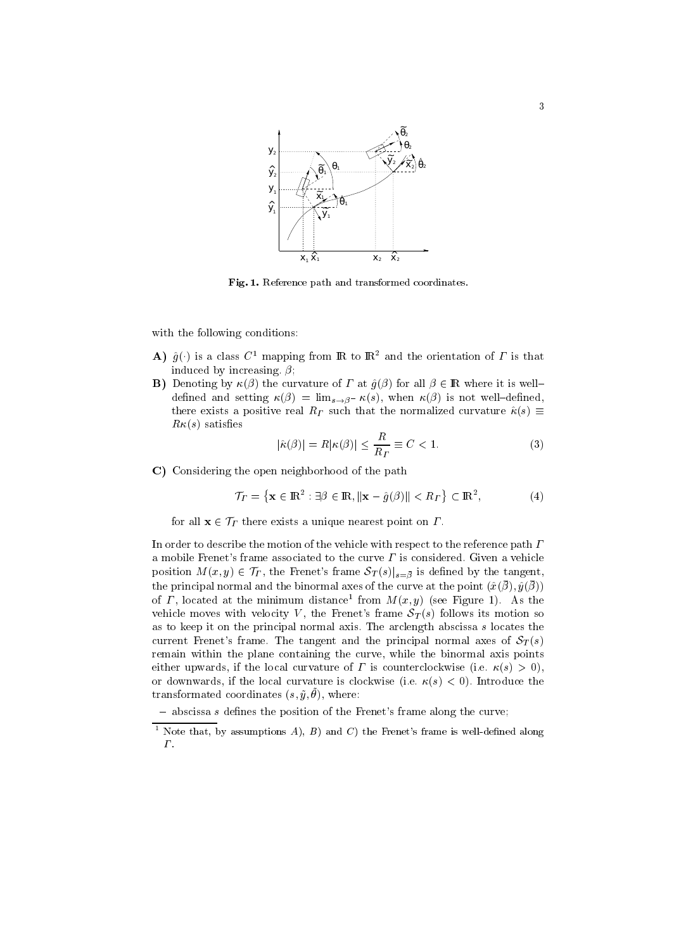

Fig. 1. Reference path and transformed coordinates.

with the following conditions:

- A)  $\hat{g}(\cdot)$  is a class  $C^1$  mapping from **IR** to  $\mathbb{R}^2$  and the orientation of  $\Gamma$  is that induced by increasing.  $\beta$ ;
- **B)** Denoting by  $\kappa(\beta)$  the curvature of  $\Gamma$  at  $\hat{g}(\beta)$  for all  $\beta \in \mathbb{R}$  where it is welldefined and setting  $\kappa(\beta) = \lim_{s \to \beta^{-}} \kappa(s)$ , when  $\kappa(\beta)$  is not well-defined, there exists a positive real  $R_T$  such that the normalized curvature  $\hat{\kappa}(s) \equiv$  $R\kappa(s)$  satisfies

$$
|\hat{\kappa}(\beta)| = R|\kappa(\beta)| \le \frac{R}{R_T} \equiv C < 1. \tag{3}
$$

C) Considering the open neighborhood of the path

$$
\mathcal{T}_{\Gamma} = \left\{ \mathbf{x} \in \mathbb{R}^2 : \exists \beta \in \mathbb{R}, \|\mathbf{x} - \hat{g}(\beta)\| < R_{\Gamma} \right\} \subset \mathbb{R}^2,\tag{4}
$$

for all  $\mathbf{x} \in \mathcal{T}_\Gamma$  there exists a unique nearest point on  $\Gamma$ .

In order to describe the motion of the vehicle with respect to the reference path  $\Gamma$ a mobile Frenet's frame associated to the curve  $\Gamma$  is considered. Given a vehicle position  $M(x, y) \in \mathcal{T}_{\Gamma}$ , the Frenet's frame  $\mathcal{S}_{T}(s)|_{s=\bar{\beta}}$  is defined by the tangent, the principal normal and the binormal axes of the curve at the point  $(x(y), y(y))$ of  $I$  , located at the minimum distance from  $M(x, y)$  (see Figure 1). As the vehicle moves with velocity V, the Frenet's frame  $S_T(s)$  follows its motion so as to keep it on the principal normal axis. The arclength abscissa <sup>s</sup> locates the current Frenet's frame. The tangent and the principal normal axes of  $S_T(s)$ remain within the plane containing the curve, while the binormal axis points either upwards, if the local curvature of  $\Gamma$  is counterclockwise (i.e.  $\kappa(s) > 0$ ), or downwards, if the local curvature is clockwise (i.e.  $\kappa(s) < 0$ ). Introduce the  $\alpha$  ansformated coordinates  $(s, y, v)$ , where:

 $=$  abscissa s defines the position of the Frenet's frame along the curve;

<sup>&</sup>lt;sup>1</sup> Note that, by assumptions A), B and C the Frenet's frame is well-defined along  $\Gamma$ .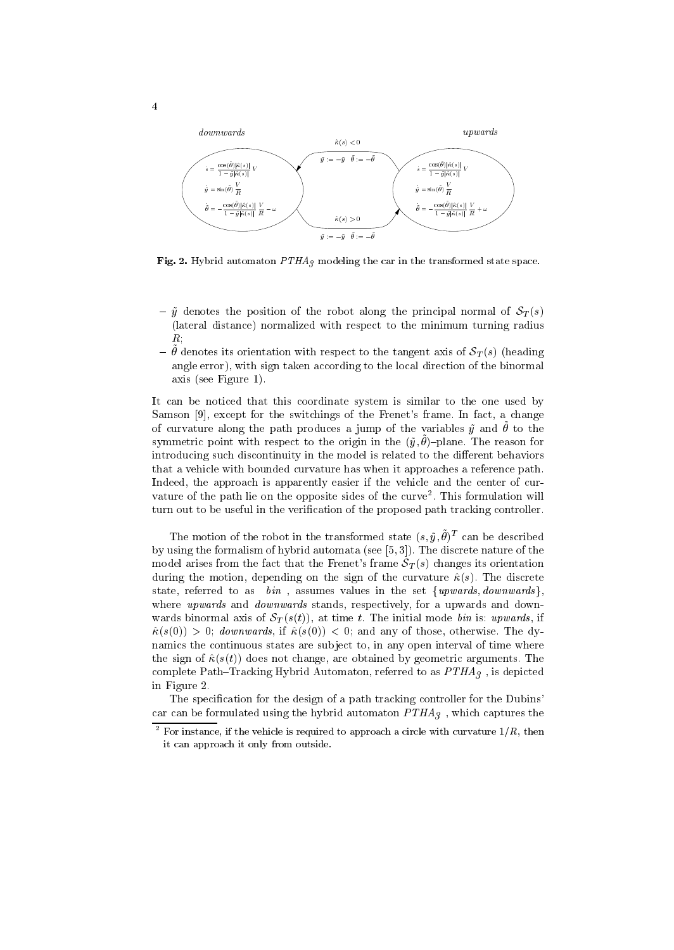

Fig. 2. Hybrid automaton  $PTHA_3$  modeling the car in the transformed state space.

- ${\cal V}$  g denotes the position of the robot along the principal normal of  $S_T(s)$ (lateral distance) normalized with respect to the minimum turning radius  $R$ ;
- $\sigma$  denotes its orientation with respect to the tangent axis or  $\mathcal{O}_T(s)$  (heading angle error), with sign taken according to the local direction of the binormal axis (see Figure 1).

It can be noticed that this coordinate system is similar to the one used by Samson [9], except for the switchings of the Frenet's frame. In fact, a change of curvature along the path produces a jump of the variables  $y$  and  $\sigma$  to the  $\sigma$  $\mathbf s$ ymmetric point with respect to the origin in the  $(y, v)$  -plane. The reason for introducing such discontinuity in the model is related to the different behaviors that a vehicle with bounded curvature has when it approaches a reference path. Indeed, the approach is apparently easier if the vehicle and the center of cur vature of the path lie on the opposite sides of the curve <sup>2</sup> . This formulation will turn out to be useful in the verication of the proposed path tracking controller.

I he motion of the robot in the transformed state  $(s, y, \sigma)$  – can be described by using the formalism of hybrid automata (see [5, 3]). The discrete nature of the model arises from the fact that the Frenet's frame  $S_T(s)$  changes its orientation during the motion, depending on the sign of the curvature  $\hat{\kappa}(s)$ . The discrete state, referred to as  $bin$ , assumes values in the set  $\{upwards, downwards\}$ , where *upwards* and *downwards* stands, respectively, for a upwards and downwards binormal axis of  $S_T(s(t))$ , at time t. The initial mode bin is: upwards, if  $\hat{\kappa}(s(0)) > 0$ ; downwards, if  $\hat{\kappa}(s(0)) < 0$ ; and any of those, otherwise. The dynamics the continuous states are sub ject to, in any open interval of time where the sign of  $\hat{\kappa}(s(t))$  does not change, are obtained by geometric arguments. The complete Path-Tracking Hybrid Automaton, referred to as  $PTHA_3$ , is depicted in Figure 2.

The specification for the design of a path tracking controller for the Dubins' car can be formulated using the hybrid automaton  $PTHA_3$ , which captures the

 $^{\circ}$  For instance, if the vehicle is required to approach a circle with curvature 1/ $R,$  then it can approach it only from outside.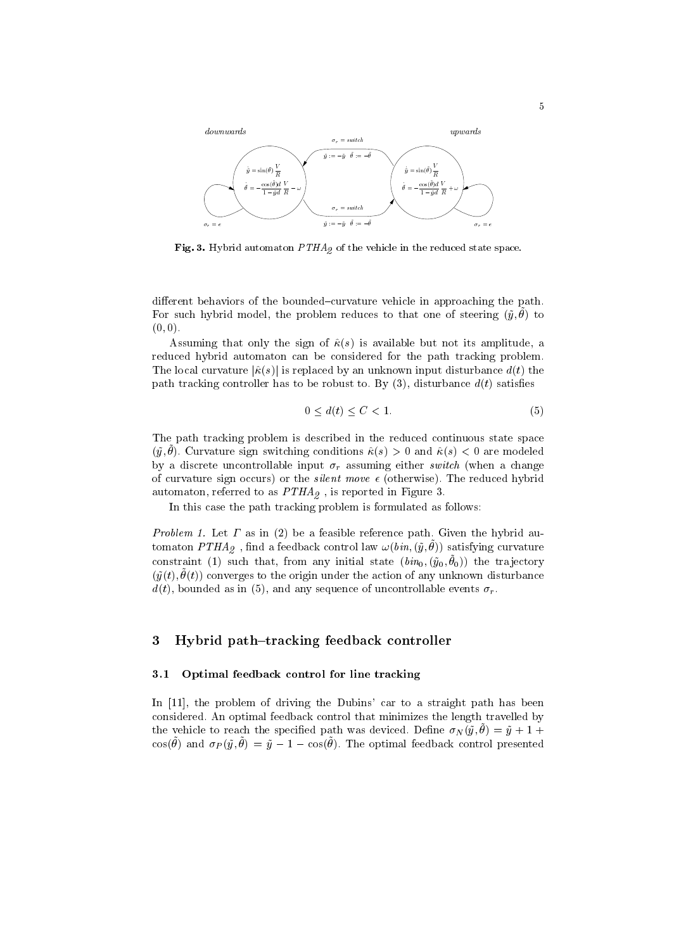

Fig. 3. Hybrid automaton  $PTHA_{2}$  of the vehicle in the reduced state space.

different behaviors of the bounded-curvature vehicle in approaching the path. For such hybrid model, the problem reduces to that one or steering  $(y, v)$  to  $\overline{y}$  $(0, 0).$ 

Assuming that only the sign of  $\hat{\kappa}(s)$  is available but not its amplitude, a reduced hybrid automaton can be considered for the path tracking problem. The local curvature  $|\hat{\kappa}(s)|$  is replaced by an unknown input disturbance  $d(t)$  the path tracking controller has to be robust to. By  $(3)$ , disturbance  $d(t)$  satisfies

$$
0 \le d(t) \le C < 1. \tag{5}
$$

The path tracking problem is described in the reduced continuous state space  $(y, v)$ . Curvature sign switching conditions  $\kappa(s) > 0$  and  $\kappa(s) \leq 0$  are modeled by a discrete uncontrollable input  $\sigma_r$  assuming either switch (when a change of curvature sign occurs) or the *silent move*  $\epsilon$  (otherwise). The reduced hybrid automaton, referred to as  $PTHA<sub>2</sub>$ , is reported in Figure 3.

In this case the path tracking problem is formulated as follows:

Problem 1. Let  $\Gamma$  as in (2) be a feasible reference path. Given the hybrid au $t$ omaton P $T$ H $A_2$  , find a feedback control law  $\omega$  (bin,  $(y,v)$ ) satisfying curvature constraint (1) such that, from any initial state  $(vin_0, (y_0, v_0))$  the trajectory  $(y(t), v(t))$  converges to the origin under the action or any unknown disturbance  $d(t)$ , bounded as in (5), and any sequence of uncontrollable events  $\sigma_r$ .

### 3Hybrid path-tracking feedback controller

## 3.1 Optimal feedback control for line tracking

In [11], the problem of driving the Dubins' car to a straight path has been considered. An optimal feedback control that minimizes the length travelled by the vehicle to reach the specified path was deviced. Define  $\sigma_N(y, \sigma) = y + 1 + 1$  $\cos(\theta)$  and  $\vartheta P(y, \theta) = y - 1 - \cos(\theta)$ . The optimal recuback control presented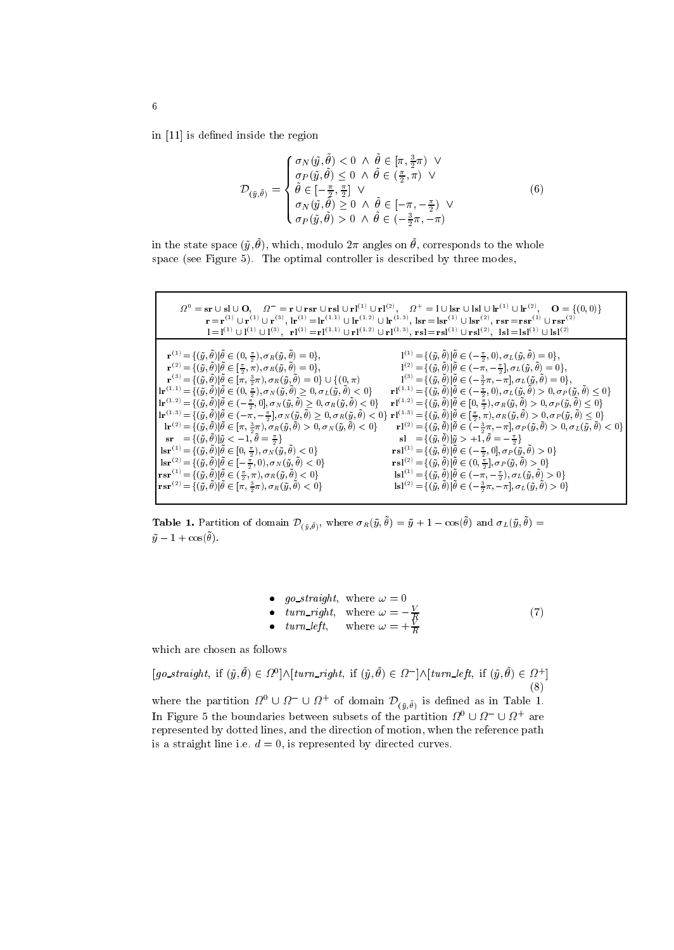in  $[11]$  is defined inside the region

$$
\mathcal{D}_{(\tilde{y}, \tilde{\theta})} = \begin{cases}\n\sigma_N(\tilde{y}, \tilde{\theta}) < 0 \ \wedge \ \tilde{\theta} \in [\pi, \frac{3}{2}\pi) \ \vee \\
\sigma_P(\tilde{y}, \tilde{\theta}) \leq 0 \ \wedge \ \tilde{\theta} \in (\frac{\pi}{2}, \pi) \ \vee \\
\tilde{\theta} \in [-\frac{\pi}{2}, \frac{\pi}{2}] \ \vee \\
\sigma_N(\tilde{y}, \tilde{\theta}) \geq 0 \ \wedge \ \tilde{\theta} \in [-\pi, -\frac{\pi}{2}) \ \vee \\
\sigma_P(\tilde{y}, \tilde{\theta}) > 0 \ \wedge \ \tilde{\theta} \in (-\frac{3}{2}\pi, -\pi)\n\end{cases} \tag{6}
$$

in the state space  $(\tilde{y}, \tilde{\theta})$ , which, modulo  $2\pi$  angles on  $\tilde{\theta}$ , corresponds to the whole space (see Figure 5). The optimal controller is described by three modes,

| $\Omega^0 = \text{sr} \cup \text{sl} \cup \text{O}, \quad \Omega^- = \text{r} \cup \text{rsr} \cup \text{rsl} \cup \text{rl}^{(1)} \cup \text{rl}^{(2)}, \quad \Omega^+ = \text{l} \cup \text{lsr} \cup \text{lsl} \cup \text{lr}^{(1)} \cup \text{lr}^{(2)}, \quad \text{O} = \{(0,0)\}\$<br>$\mathbf{r} = \mathbf{r}^{(1)} \cup \mathbf{r}^{(1)} \cup \mathbf{r}^{(3)}, \, \mathbf{lr}^{(1)} = \mathbf{lr}^{(1.1)} \cup \mathbf{lr}^{(1.2)} \cup \mathbf{lr}^{(1.3)}, \, \mathbf{lsr} = \mathbf{lsr}^{(1)} \cup \mathbf{lsr}^{(2)}, \, \mathbf{rsr} = \mathbf{rsr}^{(1)} \cup \mathbf{rsr}^{(2)}$<br>$\mathbf{l} = \mathbf{l}^{(1)} \cup \mathbf{l}^{(1)} \cup \mathbf{l}^{(3)}, \quad \mathbf{r} \mathbf{l}^{(1)} = \mathbf{r} \mathbf{l}^{(1.1)} \cup \mathbf{r} \mathbf{l}^{(1.2)} \cup \mathbf{r} \mathbf{l}^{(1.3)}, \ \mathbf{r} \mathbf{s} \mathbf{l} = \mathbf{r} \mathbf{s} \mathbf{l}^{(1)} \cup \mathbf{r} \mathbf{s} \mathbf{l}^{(2)}, \ \ \mathbf{l} \mathbf{s} \mathbf{l} = \mathbf{l} \mathbf{s} \mathbf{l}^{(1)} \cup \mathbf{l} \mathbf{s} \$                                                                                                                                                                                                                                                                                                                                                                                                                                                                                                                                                                                                                                                                                                                                                                                                                                                                                                                                                                                                                                                                                                                                                                                                                                                                                                                                                                                                                                                                                                                                                                                                                                                                                                                                                                                                                                                                                                                                                                                                                                                                                                                                                                                                                                                                                                                                                                                                                                                                                                                                                                                                                                                                                                        |
|-------------------------------------------------------------------------------------------------------------------------------------------------------------------------------------------------------------------------------------------------------------------------------------------------------------------------------------------------------------------------------------------------------------------------------------------------------------------------------------------------------------------------------------------------------------------------------------------------------------------------------------------------------------------------------------------------------------------------------------------------------------------------------------------------------------------------------------------------------------------------------------------------------------------------------------------------------------------------------------------------------------------------------------------------------------------------------------------------------------------------------------------------------------------------------------------------------------------------------------------------------------------------------------------------------------------------------------------------------------------------------------------------------------------------------------------------------------------------------------------------------------------------------------------------------------------------------------------------------------------------------------------------------------------------------------------------------------------------------------------------------------------------------------------------------------------------------------------------------------------------------------------------------------------------------------------------------------------------------------------------------------------------------------------------------------------------------------------------------------------------------------------------------------------------------------------------------------------------------------------------------------------------------------------------------------------------------------------------------------------------------------------------------------------------------------------------------------------------------------------------------------------------------------------------------------------------------------------------------------------------------------------------------------------------------------------------------------------------------------------------------------------------------------------------------------------------------------------------------------------------------------------------------------------------------------------------------------------------------------------------------------------------------------------------------------------------------------------------------------------------------------------------------------------------------------------------------------------------------------------------------------------------------------------------------------------------------------------------------------------------------------------------------------------------------------------------------------------------------------------------------------------------------------------------------------------------------------------------------------------------------------------------------------------------------------------------------------------------------------------------------------------------|
| $\mathbf{r}^{(1)} = \{ (\tilde{y}, \tilde{\theta})   \tilde{\theta} \in (0, \frac{\pi}{2}), \sigma_R(\tilde{y}, \tilde{\theta}) = 0 \},\$<br>$\mathbf{l}^{(1)} = \{(\tilde{y}, \tilde{\theta})   \tilde{\theta} \in (-\frac{\pi}{2}, 0), \sigma_L(\tilde{y}, \tilde{\theta}) = 0\},\$<br>$\mathbf{r}^{(2)} = \{(\tilde{y}, \tilde{\theta})   \tilde{\theta} \in [\frac{\pi}{2}, \pi), \sigma_R(\tilde{y}, \tilde{\theta}) = 0\},\,$<br>$\mathbf{l}^{(2)} = \{(\tilde{y},\tilde{\theta})   \tilde{\theta} \in (-\bar{\pi},-\frac{\pi}{2}], \sigma_L(\tilde{y},\tilde{\theta}) = 0\},$<br>$\mathbf{r}^{(3)}\!=\!\{(\tilde{y},\tilde{\theta}) \tilde{\theta}\in[\pi,\tfrac{3}{2}\pi),\sigma_R(\tilde{y},\tilde{\theta})=0\}\cup\{(0,\pi)$<br>$I^{(3)} = \{ (\tilde{y}, \tilde{\theta})   \tilde{\theta} \in (-\frac{3}{2}\pi, -\pi], \sigma_L(\tilde{y}, \tilde{\theta}) = 0 \},$<br>$\mathbf{l}\mathbf{r}^{(1,1)}\!=\!\{(\tilde{y},\tilde{\theta}) \tilde{\theta}\in(0,\tfrac{\pi}{2}),\sigma_N(\tilde{y},\tilde{\theta})\geq0,\sigma_L(\tilde{y},\tilde{\theta})<0\}$<br>$\mathbf{rl}^{(1,1)}\!=\!\{(\tilde{y},\tilde{\theta}) \tilde{\theta}\in(-\tfrac{\pi}{2},0),\sigma_L(\tilde{y},\tilde{\theta})>0,\sigma_P(\tilde{y},\tilde{\theta})\leq0\}$<br>$\mathbf{l}\mathbf{r}^{(1.2)}\!=\!\{(\tilde{y},\tilde{\theta}) \tilde{\theta}\in(-\tfrac{\pi}{2},0],\,\sigma_N(\tilde{y},\tilde{\theta})\geq0,\,\sigma_R(\tilde{y},\tilde{\theta})<0\}$<br>$\mathbf{rl}^{(1.2)} = \{(\tilde{y}, \tilde{\theta})   \tilde{\theta} \in [0, \frac{\pi}{2}), \sigma_R(\tilde{y}, \tilde{\theta}) > 0, \sigma_P(\tilde{y}, \tilde{\theta}) \leq 0\}$<br>$\mathbf{lr}^{\,(1.3)}\!=\!\{(\tilde{y},\tilde{\theta}) \tilde{\theta}\in(-\pi,-\tfrac{\pi}{2}],\sigma_N(\tilde{y},\tilde{\theta})\geq0,\sigma_R(\tilde{y},\tilde{\theta})<0\}\,\,\mathbf{rl}^{\,(1.3)}\!=\!\{(\tilde{y},\tilde{\theta}) \tilde{\theta}\in[\tfrac{\pi}{2},\pi),\sigma_R(\tilde{y},\tilde{\theta})>0,\sigma_P(\tilde{y},\tilde{\theta})\leq0\}$<br>$\mathbf{l}\mathbf{r}^{(2)} = \{(\tilde{y},\tilde{\theta}) \tilde{\theta} \in [\pi,\frac{3}{2}\pi), \sigma_R(\tilde{y},\tilde{\theta}) > 0, \sigma_N(\tilde{y},\tilde{\theta}) < 0\}$<br>$\mathbf{r} \mathbf{l}^{(2)} = \{(\tilde{y}, \tilde{\theta})   \tilde{\theta} \in (-\frac{3}{2}\pi, -\pi], \sigma_P(\tilde{y}, \tilde{\theta}) > 0, \sigma_L(\tilde{y}, \tilde{\theta}) < 0\}$<br>$\mathbf{s} \mathbf{r} = \{ (\tilde{y}, \tilde{\theta})   \tilde{y} < -1, \tilde{\theta} = \frac{\pi}{2} \}$<br>$\mathbf{sl} = \{ (\tilde{y}, \tilde{\theta})   \tilde{y} > +1, \tilde{\theta} = -\frac{\pi}{2} \}$<br>$\mathbf{lsr}^{(1)}\!=\!\{(\tilde{y},\tilde{\theta}) \tilde{\theta}\in[0,\tfrac{\pi}{2}),\sigma_N(\tilde{y},\tilde{\theta})<0\}$<br>$\text{rsl}^{(1)} = \{(\tilde{y}, \tilde{\theta})   \tilde{\theta} \in (-\frac{\pi}{2}, 0], \sigma_P(\tilde{y}, \tilde{\theta}) > 0\}$<br>$\mathbf{lsr}^{(2)} \!=\! \{(\tilde{y},\tilde{\theta}) \tilde{\theta}\in [-\tfrac{\pi}{2},0), \sigma_N(\tilde{y}_\downarrow\tilde{\theta})<0\}$<br>$\mathbf{rsl}^{(2)} = \{(\tilde{y},\tilde{\theta})   \tilde{\theta} \in (0,\frac{\pi}{2}], \sigma_P(\tilde{y},\tilde{\theta}) > 0\}$<br>$\mathbf{rsr}^{(1)}\!=\!\{(\tilde{y},\tilde{\theta}) \tilde{\theta}\in(\tfrac{\pi}{2},\pi),\sigma_R(\tilde{y},\tilde{\theta})<0\}$<br>$\mathbf{lsl}^{(1)}\!=\!\{(\tilde{y},\tilde{\theta}) \tilde{\theta}\in(-\pi,-\tfrac{\pi}{2}),\sigma_L(\tilde{y},\tilde{\theta})>0\}$<br>$\textbf{rsr}^{(2)}\!=\!\{(\tilde{y},\tilde{\theta}) \tilde{\theta}\in[\pi,\frac{3}{2}\pi),\sigma_R(\tilde{y},\tilde{\theta})< 0\}$<br>$\mathbf{Isl}^{(2)} = \{(\tilde{y}, \tilde{\theta})   \tilde{\theta} \in (-\frac{3}{2}\pi, -\pi], \sigma_L(\tilde{y}, \tilde{\theta}) > 0\}$ |

**Table 1.** Partition of domain  $D_{(\tilde{y},\theta)}$ , where  $\partial_R(y,v) = y + 1 - \cos(v)$  and  $\partial_L(y,v) =$  $y - 1 + \cos(v)$ 

\n- *go-straight*, where 
$$
\omega = 0
$$
\n- *turn-right*, where  $\omega = -\frac{V}{R}$
\n- *turn-left*, where  $\omega = +\frac{V}{R}$
\n
\n(7)

which are chosen as follows

 $(qo\_straight, \text{ if } (y, \sigma) \in \mathcal{U}^* | \wedge | \text{ turn\_right}, \text{ if } (y, \sigma) \in \mathcal{U}^* | \wedge | \text{turn\_left}, \text{ if } (y, \sigma) \in \mathcal{U}^* |$ (8)

where the partition  $\iota \iota' \cup \iota \iota' \cup \iota'$  or domain  $\nu_{(\bar{u},\bar{\theta})}$  is defined as in Table 1. In Figure 5 the boundaries between subsets of the partition  $\overline{M}$   $\cup$   $\overline{M}$   $\cup$   $\overline{M}$  are represented by dotted lines, and the direction of motion, when the reference path is a straight line i.e.  $d = 0$ , is represented by directed curves.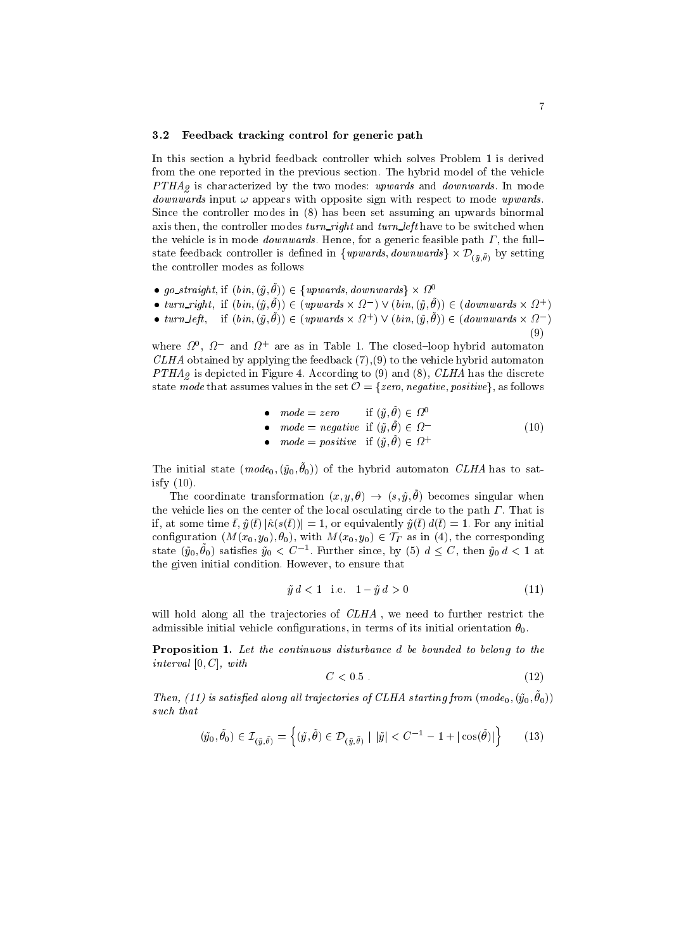### 3.2 Feedback tracking control for generic path

In this section a hybrid feedback controller which solves Problem 1 is derived from the one reported in the previous section. The hybrid model of the vehicle  $PTHA<sub>2</sub>$  is characterized by the two modes: upwards and *downwards*. In mode *downwards* input  $\omega$  appears with opposite sign with respect to mode upwards. Since the controller modes in (8) has been set assuming an upwards binormal axis then, the controller modes  $turn\_right$  and  $turn\_left$  have to be switched when the vehicle is in mode *downwards*. Hence, for a generic feasible path  $\Gamma$ , the fullstate reedback controller is defined in  $\{u\}$ wards, downwards $\int \times D(\bar{y},\theta)$  by setting the controller modes as follows

- go\_straight, if  $(bin, (\tilde{y}, \tilde{\theta})) \in \{upwards, downwards\} \times \Omega^0$
- $i$ urn right;  $\text{tr}\left(y, v\right) = \text{tr}\left(\text{tr}\left(x, v\right), \text{tr}\left(y, v\right)\right)$   $\in \text{tr}\left(\text{tr}\left(x, v\right)\right)$
- $turn_{\ell}e_{\ell}$ ,  $\text{if} (vin, (y, \sigma)) \in (upwards \times \{1\}) \vee (vin, (y, \sigma)) \in (aounuaras \times \{1\})$ 
	- (9)

 $\mathbf{I}$  , and the set of  $\mathbf{I}$ 

where  $\mathcal{U}$ ,  $\mathcal{U}$  and  $\mathcal{U}$  are as in Table 1. The closed—loop hybrid automaton  $CLHA$  obtained by applying the feedback  $(7),(9)$  to the vehicle hybrid automaton  $PTHA<sub>9</sub>$  is depicted in Figure 4. According to (9) and (8), CLHA has the discrete state mode that assumes values in the set  $\mathcal{O} = \{zero, negative, positive\}$ , as follows

\n- $$
mode = zero
$$
 if  $(\tilde{y}, \tilde{\theta}) \in \Omega^0$
\n- $mode = negative$  if  $(\tilde{y}, \tilde{\theta}) \in \Omega^-$
\n- $mode = positive$  if  $(\tilde{y}, \tilde{\theta}) \in \Omega^+$
\n
\n(10)

The initial state  $(m\omega a_0, (y_0, \omega_0))$  of the hybrid automaton CLHA has to satisfy (10).

The coordinate transformation  $(x, y, v) \rightarrow (s, y, v)$  becomes singular when the vehicle lies on the center of the local osculating circle to the path  $\Gamma$ . That is if, at some time  $\bar{t}$ ,  $\tilde{y}(\bar{t}) |\hat{\kappa}(s(\bar{t}))| = 1$ , or equivalently  $\tilde{y}(\bar{t}) d(\bar{t}) = 1$ . For any initial if, at some time  $\bar{t}$ ,  $\tilde{y}(\bar{t}) |\hat{\kappa}(s(\bar{t}))| = 1$ , or equivalently  $\tilde{y}(\bar{t}) d(\bar{t}) = 1$ . For any initial configuration  $(M(x_0, y_0), \theta_0)$ , with  $M(x_0, y_0) \in \mathcal{T}_\Gamma$  as in (4), the corresponding state  $(y_0, \sigma_0)$  satisfies  $y_0 \leq C$  . Further since, by (5)  $a \leq C$ , then  $y_0 a \leq 1$  at the given initial condition. However, to ensure that

$$
\tilde{y} \, d < 1 \quad \text{i.e.} \quad 1 - \tilde{y} \, d > 0 \tag{11}
$$

will hold along all the trajectories of  $CLHA$ , we need to further restrict the admissible initial vehicle configurations, in terms of its initial orientation  $\theta_0$ .

Proposition 1. Let the continuous disturbance d be bounded to belong to the interval  $[0, C]$ , with

$$
C < 0.5 \tag{12}
$$

Then, (11) is satisfied diving an inflectiones of CEHA starting from (mode $(0, (g_0, v_0))$ such that

$$
(\tilde{y}_0, \tilde{\theta}_0) \in \mathcal{I}_{(\tilde{y}, \tilde{\theta})} = \left\{ (\tilde{y}, \tilde{\theta}) \in \mathcal{D}_{(\tilde{y}, \tilde{\theta})} \mid |\tilde{y}| < C^{-1} - 1 + |\cos(\tilde{\theta})| \right\} \tag{13}
$$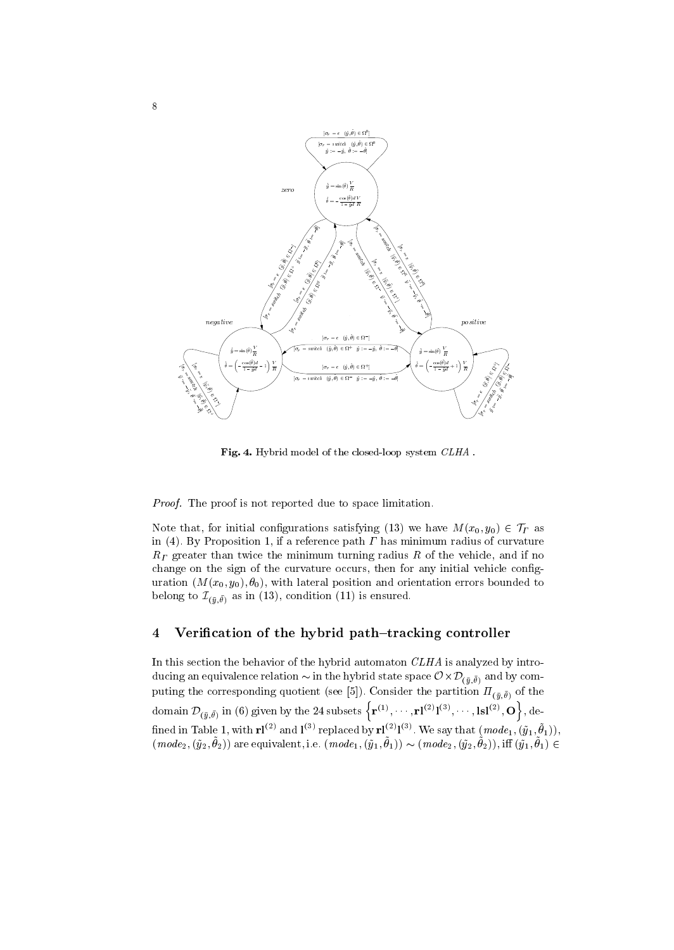

Fig. 4. Hybrid model of the closed-loop system CLHA .

Proof. The proof is not reported due to space limitation.

Note that, for initial configurations satisfying (13) we have  $M(x_0, y_0) \in \mathcal{T}_\Gamma$  as in (4). By Proposition 1, if a reference path  $\Gamma$  has minimum radius of curvature  $R<sub>\Gamma</sub>$  greater than twice the minimum turning radius R of the vehicle, and if no change on the sign of the curvature occurs, then for any initial vehicle configuration  $(M(x_0, y_0), \theta_0)$ , with lateral position and orientation errors bounded to belong to  $\mathcal{L}_{(\bar{y},\theta)}$  as in (13), condition (11) is ensured.

#### 4Verification of the hybrid path-tracking controller

In this section the behavior of the hybrid automaton CLHA is analyzed by introducing an equivalence relation  $\sim$  in the hybrid state space  $\sigma \sim \nu_{(\bar{u},\theta)}$  and by computing the corresponding quotient (see [5]). Consider the partition  $\Pi_{(\bar{y},\bar{\theta})}$  of the  $\mathrm{domain}~\mathcal{D}_{(\bar{y},\bar{\theta})} \text{ in (6) given by the 24 subsets } \left\{\mathbf{r}^{(1)},\cdots,\mathbf{rl}^{(2)}\mathbf{l}^{(3)},\cdots,\mathbf{lsl}^{(2)},\mathbf{O}\right\}, \mathrm{de-}$ **of the contract of the contract of the contract of the contract of the contract of the contract of the contract of the contract of the contract of the contract of the contract of the contract of the contract of the contra** , defined as a set of the set of the set of the set of the set of the set of the set of the set of the set of the set of the set of the set of the set of the set of the set of the set of the set of the set of the set of t fined in Table 1, with  ${\bf r}$  ( $\cdot$ ) and  ${\bf l}^{(2)}$  replaced by  ${\bf r}$  ( $\cdot$ )  ${\bf l}^{(3)}$ . We say that  $(\textit{mode}_1, (y_1, \theta_1))$ ,  $(mouez, (yz, v_2))$  are equivalent, i.e.  $(mouez, (y_1, v_1)) \sim (mouez, (y_2, v_2))$ , in  $(y_1, v_1) \in$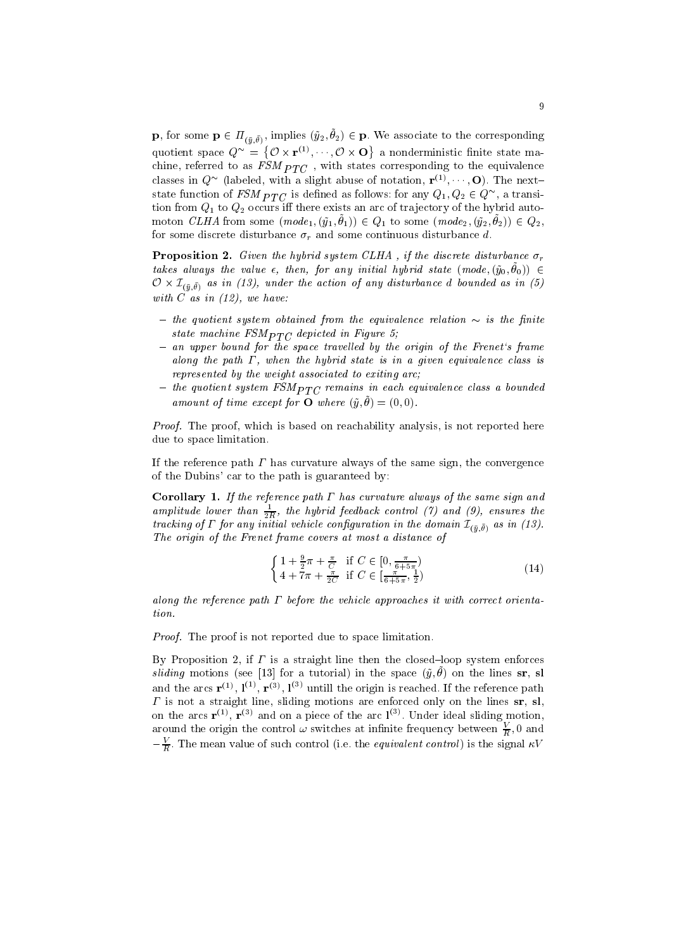**p**, for some  $\mathbf{p} \in H_{(\bar{y},\theta)},$  implies  $(y_2, v_2) \in \mathbf{p}$ , we associate to the corresponding **p**, for some  $\mathbf{p} \in \Pi_{(\bar{y}, \bar{\theta})}$ , implies  $(\tilde{y}_2, \theta_2) \in \mathbf{p}$ . We associate<br>quotient space  $Q^{\sim} = \{ \mathcal{O} \times \mathbf{r}^{(1)}, \dots, \mathcal{O} \times \mathbf{O} \}$  a nondermin  $\mathcal{L}$  and  $\mathcal{L}$  and  $\mathcal{L}$  and  $\mathcal{L}$  and  $\mathcal{L}$  and  $\mathcal{L}$  and  $\mathcal{L}$  and  $\mathcal{L}$  and  $\mathcal{L}$  and  $\mathcal{L}$  and  $\mathcal{L}$  and  $\mathcal{L}$  and  $\mathcal{L}$  and  $\mathcal{L}$  and  $\mathcal{L}$  and  $\mathcal{L}$  and  $\mathcal{L}$  and chine, referred to as FSM  $_{F1\mathrm{C}}$  , with states corresponding to the equivalence classes in  $Q$  (rabeled, with a slight abuse of notation,  $\Gamma^\vee$  ,  $\cdots$  ,  $\mathbf{O}$ ). The nextstate function of FSM  $PTC$  is defined as follows: for any  $Q_1, Q_2 \in Q_{-}$  , a transition from  $Q_1$  to  $Q_2$  occurs iff there exists an arc of trajectory of the hybrid auto $m$ <sub>1</sub> to some  $(m \nu u_1, (y_1, v_1)) \in Q_1$  to some  $(m \nu u_2, (y_2, v_2)) \in Q_2$ , for some discrete disturbance  $\sigma_r$  and some continuous disturbance d.

**Proposition 2.** Given the hybrid system CLHA, if the discrete disturbance  $\sigma_r$ takes always the value  $\epsilon,$  then, for any initial hybrid state (mode,  $(y_0, v_0)$ )  $\epsilon$  $\mathcal{O}\times\mathcal{L}_{(\bar{y},\theta)}$  as in (19), under the action of any assurance  $a$  bounded as in (9) with  $C$  as in  $(12)$ , we have:

- ${\it -}$  the quotient system obtained from the equivalence relation  ${\sim}$  is the finite state machine  $FSM_{PTC}$  depicted in Figure 5;
- ${ -}$  an upper bound for the space travelled by the origin of the Frenet's frame along the path  $\Gamma$ , when the hybrid state is in a given equivalence class is represented by the weight associated to exiting arc;
- ${ }$  the quotient system  $FSM_{PTC}$  remains in each equivalence class a bounded amount of time except for  $\bullet$  where  $(y, v) = (0, 0)$ .

*Proof.* The proof, which is based on reachability analysis, is not reported here due to space limitation.

If the reference path  $\Gamma$  has curvature always of the same sign, the convergence of the Dubins' car to the path is guaranteed by:

**Corollary 1.** If the reference path  $\Gamma$  has curvature always of the same sign and amplitude lower than  $\frac{1}{2R}$ , the hybrid feedback control (7) and (9), ensures the tracking by  $I$  for any initial vehicle configuration in the domain  $L_{(\bar{u},\theta)}$  as in (15). The origin of the Frenet frame covers at most a distance of

$$
\begin{cases} 1 + \frac{9}{2}\pi + \frac{\pi}{C} & \text{if } C \in [0, \frac{\pi}{6+5\pi})\\ 4 + 7\pi + \frac{\pi}{2C} & \text{if } C \in [\frac{\pi}{6+5\pi}, \frac{1}{2}) \end{cases}
$$
(14)

along the reference path  $\Gamma$  before the vehicle approaches it with correct orientation.

Proof. The proof is not reported due to space limitation.

By Proposition 2, if  $\Gamma$  is a straight line then the closed-loop system enforces  $s$ *itumy* invertising (see [13] for a tutorial) in the space  $(y, v)$  on the lines **si**, **si** and the arcs  ${\bf r}^{(1)},\,{\bf l}^{(2)},\,{\bf r}^{(3)},\,{\bf l}^{(7)}$  untill the origin is reached. If the reference path is not a straight line, sliding motions are enforced only on the lines sr, sl, on the arcs  ${\bf r}^{(+)}$ ,  ${\bf r}^{(0)}$  and on a piece of the arc  ${\bf l}^{(-)}$ . Under ideal sliding motion, around the origin the control  $\omega$  switches at infinite frequency between  $\frac{\overline{R}}{R}$ ,  $0$  and  $-\overline{\overline{R}}$ . The mean value of such control (i.e. the *equivalent control*) is the signal  $\kappa v$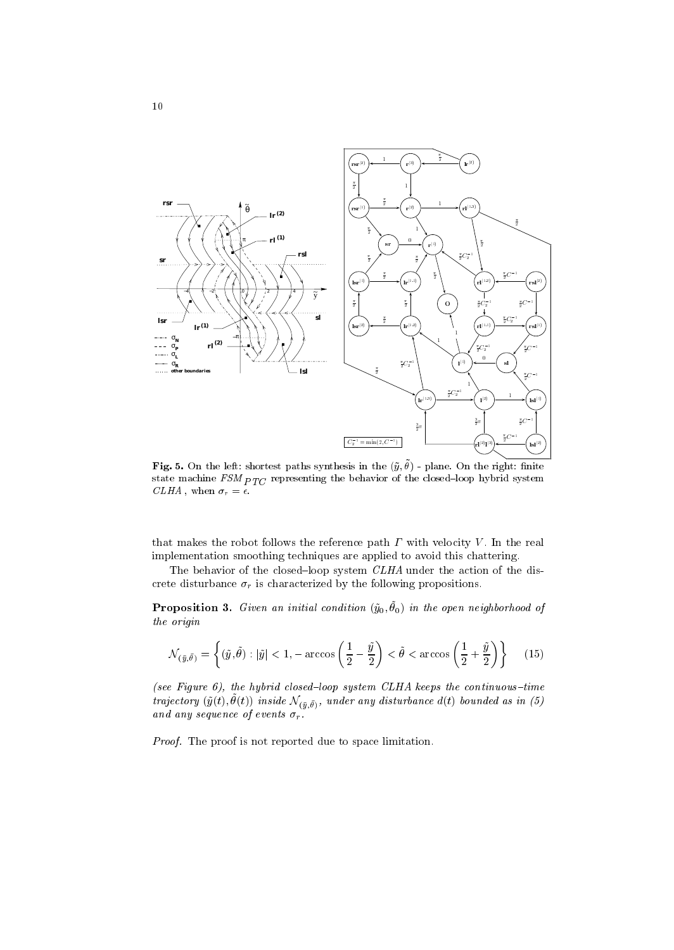

 $\mathbf{r}$  is  $\mathbf{v}$ . On the left: shortest paths synthesis in the  $(y, v)$  - plane. On the right: ninte state mathematic mathematic representing the closed  $\mathbb{R}^n$  of the closed  $\mathbb{R}^n$  $CLHA$ , when  $\sigma_r = \epsilon$ .

that makes the robot follows the reference path  $\Gamma$  with velocity  $V$ . In the real implementation smoothing techniques are applied to avoid this chattering.

The behavior of the closed-loop system  $CLHA$  under the action of the discrete disturbance  $\sigma_r$  is characterized by the following propositions.

**1 roposition 5.** Given an initial condition  $(y_0, v_0)$  in the open neighborhood of the origin

$$
\mathcal{N}_{(\tilde{y}, \tilde{\theta})} = \left\{ (\tilde{y}, \tilde{\theta}) : |\tilde{y}| < 1, -\arccos\left(\frac{1}{2} - \frac{\tilde{y}}{2}\right) < \tilde{\theta} < \arccos\left(\frac{1}{2} + \frac{\tilde{y}}{2}\right) \right\} \tag{15}
$$

(see Figure 6), the hybrid closed-loop system CLHA keeps the continuous-time trajectory  $(y(t), v(t))$  inside  $\mathcal{N}(\bar{y}, \theta)$ , ander any distarbance  $u(t)$  bounded as in (5) and any sequence of events r .

Proof. The proof is not reported due to space limitation.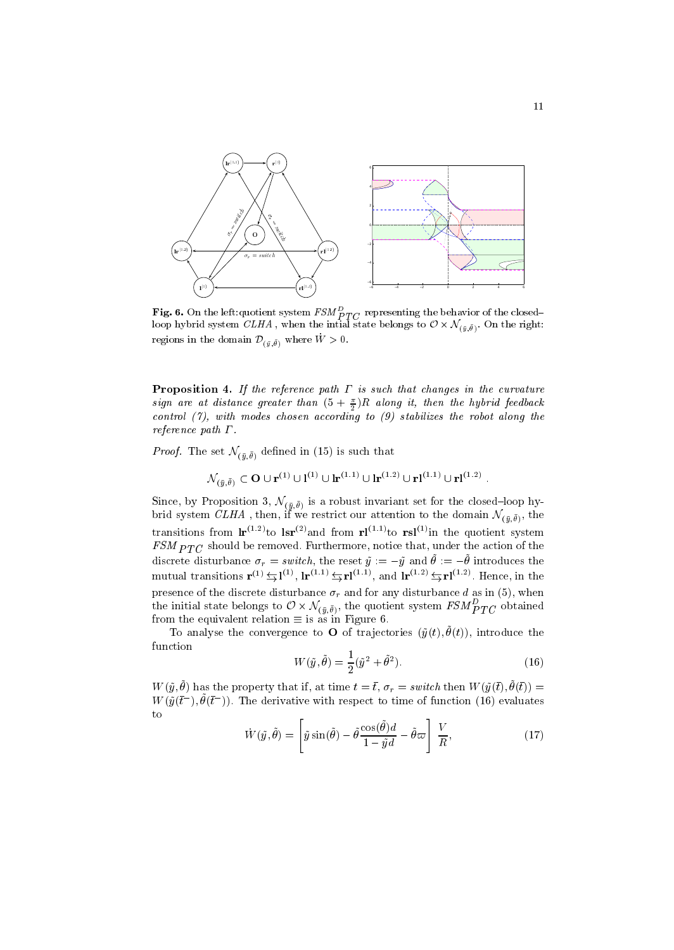

**Fig. 6.** On the left:quotient system  $FSM$   $_{PTC}$  representing the behavior of the closed–loop hybrid system  $CLHA$  , when the intial state belongs to  $\mathcal{O}\times \mathcal{N}_{(\tilde{v},\tilde{\theta})}.$  On the right: regions in the domain  $\mathcal{D}_{(\tilde{y}, \tilde{\theta})}$  where  $\tilde{W} > 0$ .

**Proposition 4.** If the reference path  $\Gamma$  is such that changes in the curvature sign are at aistance greater than  $(5 + \frac{1}{2})K$  atong it, then the hybrid feedback 22 January 2014 - 2014 - 2014 - 2014 - 2014 - 2014 - 2014 - 2014 - 2014 - 2014 - 2014 - 2014 - 2014 control (7), with modes chosen according to (9) stabilizes the robot along the reference path  $\Gamma$ .

*Proof.* The set  $\mathcal{N}_{(\bar{y}, \bar{\theta})}$  defined in (15) is such that

$$
\mathcal{N}_{(\tilde{u},\tilde{\theta})} \subset \mathbf{O} \cup \mathbf{r}^{(1)} \cup \mathbf{l}^{(1)} \cup \mathbf{lr}^{(1.1)} \cup \mathbf{lr}^{(1.2)} \cup \mathbf{rl}^{(1.1)} \cup \mathbf{rl}^{(1.2)}.
$$

Since, by Proposition 3,  $\mathcal{N}(\bar{y},\theta)$  is a robust invariant set for the closed Toop hybrid system C*LHA*, then, if we restrict our attention to the domain  $\mathcal{N}(\tilde{u},\theta)$ , the transitions from  $\mathbf{lr}^{(11)}$  to  $\mathbf{lsr}^{(2)}$  and from  $\mathbf{rl}^{(112)}$  to  $\mathbf{rsl}^{(2)}$ in the quotient system FIC shown be removed. Furthermore, notice that, under the action of the action of the action of the action of the action of the action of the action of the action of the action of the action of the action of the action of discrete disturbance  $\sigma_r =$  switch, the reset  $y := -y$  and  $\sigma := -\sigma$  introduces the mutual transitions  ${\bf r}^{(1)} \nightharpoonup {\bf r}^{(1)} \nightharpoonup {\bf r}^{(11)} \nightharpoonup {\bf r}^{(111)}$ , and  ${\bf l} {\bf r}^{(112)} \nightharpoonup {\bf r}^{(112)}$ . Hence, in the presence of the discrete disturbance  $\sigma_r$  and for any disturbance d as in (5), when the initial state belongs to  $O\times N_{(\bar{y},\bar{\theta})},$  the quotient system  $\emph{FSM}_{PTC}$  obtained from the equivalent relation  $\equiv$  is as in Figure 6.

To analyse the convergence to  $\bullet$  of trajectories  $(y(t), v(t))$ , introduce the function

$$
W(\tilde{y}, \tilde{\theta}) = \frac{1}{2}(\tilde{y}^2 + \tilde{\theta}^2). \tag{16}
$$

W  $(y, v)$  has the property that if, at time  $t = t$ ,  $\sigma_r = s$  witch then W  $(y(t), v(t)) =$  $W(y(t_1), \sigma(t_1))$ . The derivative with respect to time of function (16) evaluates to

$$
\dot{W}(\tilde{y},\tilde{\theta}) = \left[\tilde{y}\sin(\tilde{\theta}) - \tilde{\theta}\frac{\cos(\tilde{\theta})d}{1 - \tilde{y}d} - \tilde{\theta}\varpi\right]\frac{V}{R},\tag{17}
$$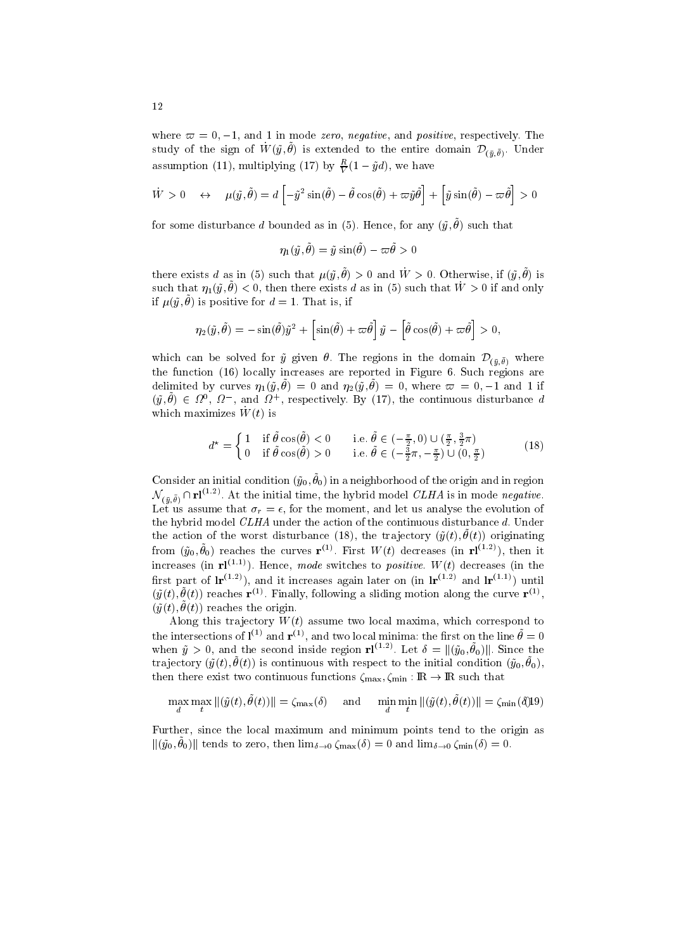where  $\varpi = 0, -1$ , and 1 in mode zero, negative, and positive, respectively. The study of the sign of  $W_-(y, v)$  is extended to the entire domain  $\nu_{(\tilde{y}, \theta)}.$  Under assumption (11), multiplying (17) by  $\frac{1}{V}(1 - ya)$ , we have

$$
\dot{W} > 0 \quad \leftrightarrow \quad \mu(\tilde{y}, \tilde{\theta}) = d \left[ -\tilde{y}^2 \sin(\tilde{\theta}) - \tilde{\theta} \cos(\tilde{\theta}) + \varpi \tilde{y} \tilde{\theta} \right] + \left[ \tilde{y} \sin(\tilde{\theta}) - \varpi \tilde{\theta} \right] > 0
$$

for some disturbance  $a$  bounded as in (5). Hence, for any  $(y, v)$  such that

$$
\eta_1(\tilde y,\tilde \theta)=\tilde y\sin(\tilde \theta)-\varpi\tilde \theta>0
$$

there exists a as in (b) such that  $\mu(y, y) > 0$  and  $W > 0$ . Otherwise, if  $(y, y)$  is such that  $\eta_1(y,v) \leq 0$ , then there exists a as in (b) such that  $W > 0$  if and only  $\mu(y, v)$  is positive for  $u = 1$ . That is, if

$$
\eta_2(\tilde{y}, \tilde{\theta}) = -\sin(\tilde{\theta})\tilde{y}^2 + \left[\sin(\tilde{\theta}) + \omega \tilde{\theta}\right]\tilde{y} - \left[\tilde{\theta}\cos(\tilde{\theta}) + \omega \tilde{\theta}\right] > 0,
$$

which can be solved for  $\tilde{y}$  given  $\theta$ . The regions in the domain  $\mathcal{D}_{(\bar{y},\bar{\theta})}$  where the function (16) locally increases are reported in Figure 6. Such regions are delimited by curves  $\eta_1(\tilde{y}, \theta) = 0$  and  $\eta_2(\tilde{y}, \theta) = 0$ , where  $\varpi = 0, -1$  and 1 if  $(y, \theta) \in \Omega^*, \Omega^*$ , and  $\Omega^*$ , respectively. By (17), the continuous disturbance  $a$ which maximizes  $W(t)$  is

$$
d^* = \begin{cases} 1 & \text{if } \hat{\theta}\cos(\hat{\theta}) < 0 \\ 0 & \text{if } \hat{\theta}\cos(\hat{\theta}) > 0 \end{cases} \quad \text{i.e. } \hat{\theta} \in \left(-\frac{\pi}{2}, 0\right) \cup \left(\frac{\pi}{2}, \frac{3}{2}\pi\right) \tag{18}
$$

Consider an initial condition  $(y_0, v_0)$  in a neighborhood of the origin and in region  $\mathcal{N}_{(\bar{u},\bar{\theta})} \cap {\bf r} l^{(1.2)}$ . At the initial time, the hybrid model CLHA is in mode negative. Let us assume that  $\sigma_r = \epsilon$ , for the moment, and let us analyse the evolution of the hybrid model  $CLHA$  under the action of the continuous disturbance  $d$ . Under the action of the worst disturbance (18), the trajectory  $(y(t), v(t))$  originating from  $(y_0, \theta_0)$  reaches the curves  ${\bf r}^{\scriptscriptstyle (+)}$ . First W(t) decreases (in  ${\bf r}^{\scriptscriptstyle (+,-)}$ ), then it increases (in  $\mathbf{r} \mathbf{l}^{(1,1)}$ ). Hence, mode switches to *positive.* W(t) decreases (in the first part of  $\text{Ir}^{(1.2)}$ , and it increases again later on (in  $\text{Ir}^{(1.2)}$  and  $\text{Ir}^{(1.1)}$ ) until  $(y(t), \sigma(t))$  reaches  ${\bf r}^{<\gamma}$ . Finally, following a shqing motion along the curve  ${\bf r}^{<\gamma},$  $(y(t), v(t))$  reaches the origin.

Along this trajectory  $W(t)$  assume two local maxima, which correspond to the intersections of  $\mathbf{I}^{(-)}$  and  $\mathbf{r}^{(+)}$ , and two local minima: the first on the line  $\theta = 0$ <br>when  $\tilde{y} > 0$ , and the second inside region  $\mathbf{r} \mathbf{l}^{(1,2)}$ . Let  $\delta = ||(\tilde{y}_0, \tilde{\theta}_0)||$ . Since the  $t_1$ a jectory  $(y(t), v(t))$  is continuous with respect to the initial condition  $(y_0, v_0)$ , then there exist two continuous functions  $\zeta_{\text{max}}, \zeta_{\text{min}} : \mathbb{R} \to \mathbb{R}$  such that

 $\frac{d}{dt} \lim_{t \to 0} \frac{\ln(x, y, v(t))}{t} = \lim_{t \to 0} \frac{\ln(x, y, v(t))}{t} = \lim_{t \to 0} \frac{\ln(x, y, v(t))}{t} = \lim_{t \to 0} (\ln(x, y, v(t)))$ 

Further, since the local maximum and minimum points tend to the origin as  $\left\| \left( y_0, v_0 \right) \right\|$  tends to zero, then lim $\delta \rightarrow 0$   $\zeta_{\text{max}}(0) = 0$  and  $\min_{\delta \rightarrow 0} \zeta_{\text{min}}(0) = 0$ .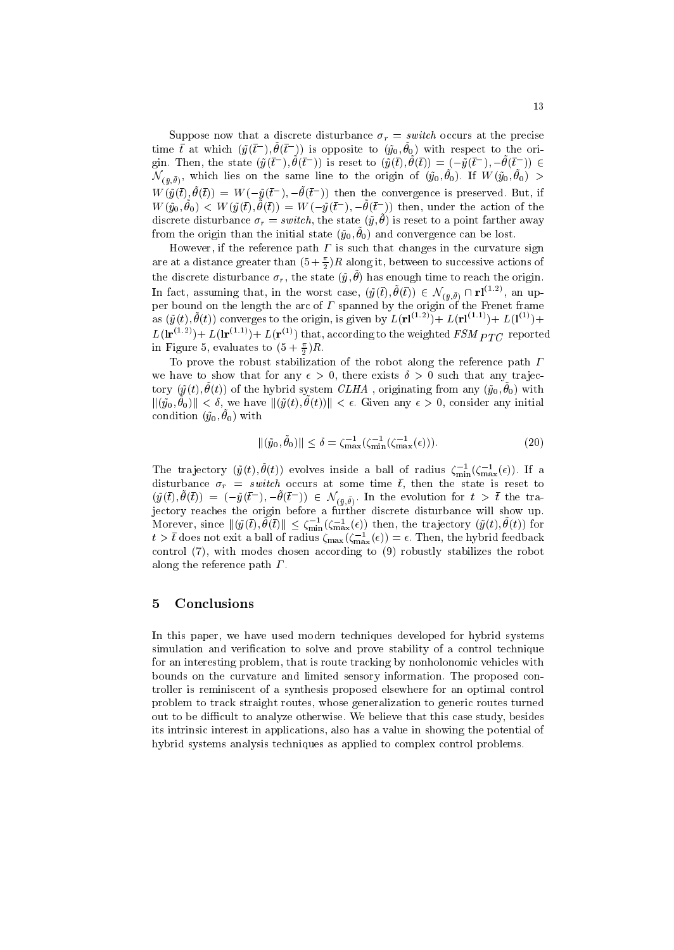Suppose now that a discrete disturbance  $\sigma_r = switch$  occurs at the precise time t at which  $(y(t-) , \theta(t-) )$  is opposite to  $(y_0, \theta_0)$  with respect to the origin. I nen, the state  $(y(t), \theta(t))$  is reset to  $(y(t), \theta(t)) = (-y(t), -\theta(t)) \in$  $\mathcal{N}(\bar{u},\theta)$ , which lies on the same line to the origin of  $(y_0, v_0)$ . If  $W(y_0, v_0) > 0$  $W(y(t), \sigma(t)) = W(-y(t))$ ,  $-\sigma(t)$ ) then the convergence is preserved. But, if W  $(y_0, \sigma_0) \leq W(y(t), \sigma(t)) = W(-y(t)), -\sigma(t))$  then, under the action of the discrete disturbance  $\sigma_r = s$  when, the state  $(y, \sigma)$  is reset to a point farther away from the origin than the initial state  $(y_0, v_0)$  and convergence can be lost.

However, if the reference path  $\Gamma$  is such that changes in the curvature sign are at a distance greater than (5  $+$   $\frac{1}{2}$ )  $R$  along it, between to successive actions of the discrete disturbance  $\sigma_r$ , the state  $(\tilde{y}, \tilde{\theta})$  has enc ) has enough time to reach the origin. In fact, assuming that, in the worst case,  $(y(t), \theta(t)) \in \mathcal{N}_{(\bar{u}, \bar{\theta})} \cap \mathbf{r} \mathbf{l}^{(2)}$ , an upper bound on the length the arc of spanned by the origin of the Frenet frame as  $(y(t), \theta(t))$  converges to the origin, is given by  $L(\bf{r}l^{(1)},l^{(1)}+L(\bf{r}l^{(2)}))+L(\bf{r}l^{(2)})+L(\bf{r}l^{(3)}+L(\bf{r}l^{(4)}+L(\bf{r}l^{(5)}+L(\bf{r}l^{(6)}+L(\bf{r}l^{(6)}+L(\bf{r}l^{(6)}+L(\bf{r}l^{(6)}+L(\bf{r}l^{(6)}+L(\bf{r}l^{(6)}+L(\bf{r}l^{(6)}+L(\bf{r}l^{($  $L(\mathbf{I}\mathbf{r}^{(11)})+L(\mathbf{I}\mathbf{r}^{(11)})+L(\mathbf{r}^{(1)})$  that, according to the weighted *FSM*  $PTC$  reported in Figure 5, evaluates to  $(3 + \frac{1}{2})R$ .

To prove the robust stabilization of the robot along the reference path  $\Gamma$ we have to show that for any  $\epsilon > 0$ , there exists  $\delta > 0$  such that any trajectory (~y(t); <sup>~</sup> (t)) of the hybrid system CLHA , originating from any (~y0; <sup>~</sup> 0) with  $\|(y_0, v_0)\| \leq v$ , we have  $\|(y_i, v_i, v_j)\| \leq v$ . Given any  $\varepsilon > v$ , consider any initial  $\text{continuous}~(y_0, v_0)$  with

$$
\|(\tilde{y}_0, \tilde{\theta}_0)\| \le \delta = \zeta_{\max}^{-1} (\zeta_{\min}^{-1}(\zeta_{\max}^{-1}(\epsilon))).
$$
\n(20)

The trajectory  $(y(t), \theta(t))$  evolves inside a ball of radius  $\zeta_{\min}(\zeta_{\max}(\epsilon))$ . If a disturbance  $\sigma_r = switch$  occurs at some time  $\bar{t}$ , then the state is reset to  $(y(t),\theta(t)) = (-y(t),-\theta(t)) \in \mathcal{N}_{(\tilde{u},\tilde{\theta})}$ . In the evolution for  $t > t$  the trajectory reaches the origin before a further discrete disturbance will show up. jectory reaches the origin before a further discrete disturbance will show up.<br>Morever, since  $\|(\tilde{y}(\bar{t}), \tilde{\theta}(\bar{t})\| \leq \zeta_{\min}^{-1}(\zeta_{\max}^{-1}(\epsilon))$  then, the trajectory  $(\tilde{y}(t), \tilde{\theta}(t))$  for  $t > t$  does not exit a ball of radius  $\zeta_{\text{max}}(\zeta_{\text{max}}(\epsilon)) \equiv \epsilon$ . Then, the hybrid feedback control (7), with modes chosen according to (9) robustly stabilizes the robot along the reference path  $\Gamma$ .

#### 5Conclusions

In this paper, we have used modern techniques developed for hybrid systems simulation and verification to solve and prove stability of a control technique for an interesting problem, that is route tracking by nonholonomic vehicles with bounds on the curvature and limited sensory information. The proposed controller is reminiscent of a synthesis proposed elsewhere for an optimal control problem to track straight routes, whose generalization to generic routes turned out to be difficult to analyze otherwise. We believe that this case study, besides its intrinsic interest in applications, also has a value in showing the potential of hybrid systems analysis techniques as applied to complex control problems.